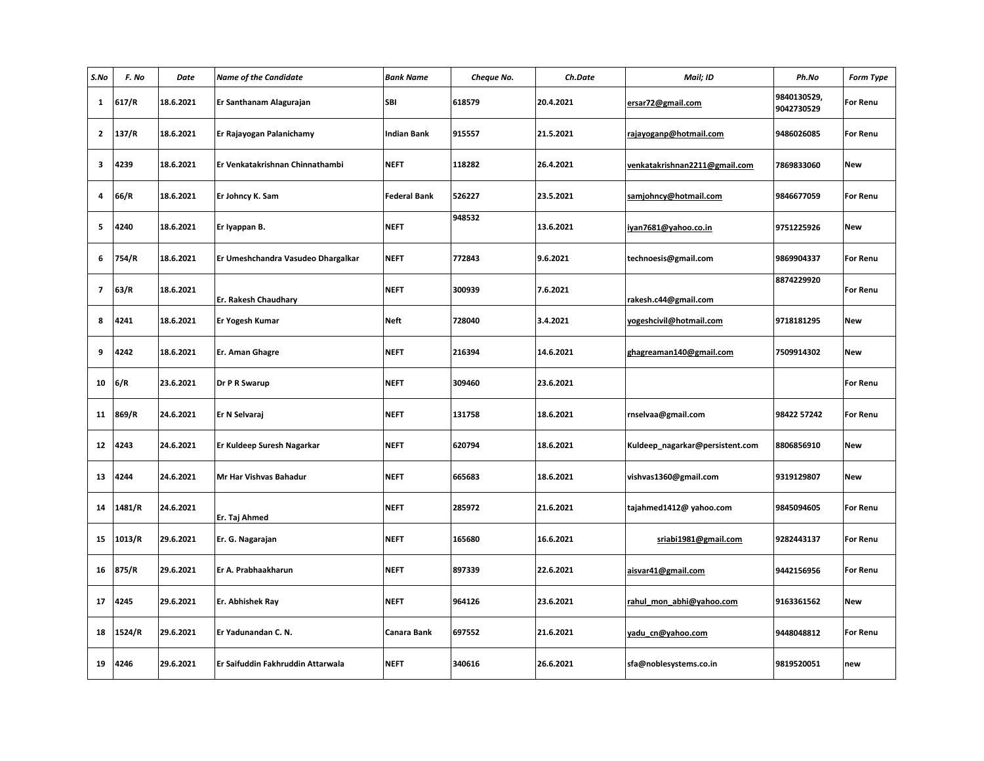| S.No              | F. No  | Date      | <b>Name of the Candidate</b>       | <b>Bank Name</b>    | Cheque No. | Ch.Date   | Mail; ID                        | Ph.No                     | Form Type       |
|-------------------|--------|-----------|------------------------------------|---------------------|------------|-----------|---------------------------------|---------------------------|-----------------|
| 1                 | 617/R  | 18.6.2021 | Er Santhanam Alagurajan            | <b>SBI</b>          | 618579     | 20.4.2021 | ersar72@gmail.com               | 9840130529,<br>9042730529 | <b>For Renu</b> |
| $\mathbf{2}$      | 137/R  | 18.6.2021 | Er Rajayogan Palanichamy           | <b>Indian Bank</b>  | 915557     | 21.5.2021 | rajayoganp@hotmail.com          | 9486026085                | <b>For Renu</b> |
| $\mathbf{3}$      | 4239   | 18.6.2021 | Er Venkatakrishnan Chinnathambi    | <b>NEFT</b>         | 118282     | 26.4.2021 | venkatakrishnan2211@gmail.com   | 7869833060                | <b>New</b>      |
| 4                 | 66/R   | 18.6.2021 | Er Johncy K. Sam                   | <b>Federal Bank</b> | 526227     | 23.5.2021 | samjohncy@hotmail.com           | 9846677059                | <b>For Renu</b> |
| 5                 | 4240   | 18.6.2021 | Er lyappan B.                      | <b>NEFT</b>         | 948532     | 13.6.2021 | iyan7681@yahoo.co.in            | 9751225926                | <b>New</b>      |
| 6                 | 754/R  | 18.6.2021 | Er Umeshchandra Vasudeo Dhargalkar | <b>NEFT</b>         | 772843     | 9.6.2021  | technoesis@gmail.com            | 9869904337                | <b>For Renu</b> |
| 7                 | 63/R   | 18.6.2021 | Er. Rakesh Chaudhary               | <b>NEFT</b>         | 300939     | 7.6.2021  | rakesh.c44@gmail.com            | 8874229920                | <b>For Renu</b> |
| 8                 | 4241   | 18.6.2021 | Er Yogesh Kumar                    | <b>Neft</b>         | 728040     | 3.4.2021  | yogeshcivil@hotmail.com         | 9718181295                | <b>New</b>      |
| 9                 | 4242   | 18.6.2021 | Er. Aman Ghagre                    | <b>NEFT</b>         | 216394     | 14.6.2021 | ghagreaman140@gmail.com         | 7509914302                | <b>New</b>      |
| 10                | 6/R    | 23.6.2021 | Dr P R Swarup                      | <b>NEFT</b>         | 309460     | 23.6.2021 |                                 |                           | <b>For Renu</b> |
| 11                | 869/R  | 24.6.2021 | Er N Selvaraj                      | <b>NEFT</b>         | 131758     | 18.6.2021 | rnselvaa@gmail.com              | 98422 57242               | <b>For Renu</b> |
| $12 \overline{ }$ | 4243   | 24.6.2021 | Er Kuldeep Suresh Nagarkar         | <b>NEFT</b>         | 620794     | 18.6.2021 | Kuldeep_nagarkar@persistent.com | 8806856910                | <b>New</b>      |
| 13                | 4244   | 24.6.2021 | Mr Har Vishvas Bahadur             | <b>NEFT</b>         | 665683     | 18.6.2021 | vishvas1360@gmail.com           | 9319129807                | <b>New</b>      |
| 14                | 1481/R | 24.6.2021 | Er. Taj Ahmed                      | <b>NEFT</b>         | 285972     | 21.6.2021 | tajahmed1412@ yahoo.com         | 9845094605                | <b>For Renu</b> |
| 15                | 1013/R | 29.6.2021 | Er. G. Nagarajan                   | <b>NEFT</b>         | 165680     | 16.6.2021 | sriabi1981@gmail.com            | 9282443137                | <b>For Renu</b> |
| 16                | 875/R  | 29.6.2021 | Er A. Prabhaakharun                | <b>NEFT</b>         | 897339     | 22.6.2021 | aisvar41@gmail.com              | 9442156956                | <b>For Renu</b> |
| 17                | 4245   | 29.6.2021 | Er. Abhishek Ray                   | <b>NEFT</b>         | 964126     | 23.6.2021 | rahul mon abhi@yahoo.com        | 9163361562                | <b>New</b>      |
| 18                | 1524/R | 29.6.2021 | Er Yadunandan C. N.                | Canara Bank         | 697552     | 21.6.2021 | yadu_cn@yahoo.com               | 9448048812                | <b>For Renu</b> |
| 19                | 4246   | 29.6.2021 | Er Saifuddin Fakhruddin Attarwala  | <b>NEFT</b>         | 340616     | 26.6.2021 | sfa@noblesystems.co.in          | 9819520051                | new             |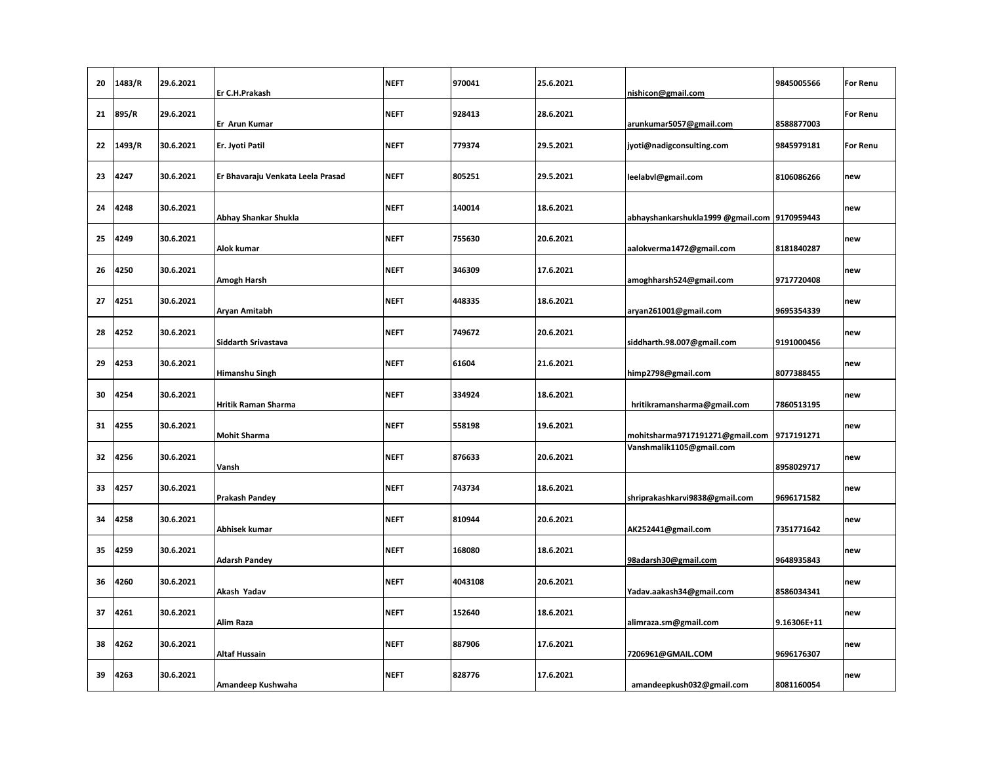| 20 | 1483/R | 29.6.2021 | Er C.H.Prakash                    | <b>NEFT</b> | 970041  | 25.6.2021 | nishicon@gmail.com                           | 9845005566  | <b>For Renu</b> |
|----|--------|-----------|-----------------------------------|-------------|---------|-----------|----------------------------------------------|-------------|-----------------|
| 21 | 895/R  | 29.6.2021 | Er Arun Kumar                     | <b>NEFT</b> | 928413  | 28.6.2021 | arunkumar5057@gmail.com                      | 8588877003  | <b>For Renu</b> |
| 22 | 1493/R | 30.6.2021 | Er. Jyoti Patil                   | <b>NEFT</b> | 779374  | 29.5.2021 | jyoti@nadigconsulting.com                    | 9845979181  | <b>For Renu</b> |
| 23 | 4247   | 30.6.2021 | Er Bhavaraju Venkata Leela Prasad | <b>NEFT</b> | 805251  | 29.5.2021 | leelabvl@gmail.com                           | 8106086266  | new             |
| 24 | 4248   | 30.6.2021 | Abhay Shankar Shukla              | <b>NEFT</b> | 140014  | 18.6.2021 | abhayshankarshukla1999 @gmail.com 9170959443 |             | new             |
| 25 | 4249   | 30.6.2021 | Alok kumar                        | <b>NEFT</b> | 755630  | 20.6.2021 | aalokverma1472@gmail.com                     | 8181840287  | new             |
| 26 | 4250   | 30.6.2021 | Amogh Harsh                       | <b>NEFT</b> | 346309  | 17.6.2021 | amoghharsh524@gmail.com                      | 9717720408  | new             |
| 27 | 4251   | 30.6.2021 | Aryan Amitabh                     | <b>NEFT</b> | 448335  | 18.6.2021 | aryan261001@gmail.com                        | 9695354339  | new             |
| 28 | 4252   | 30.6.2021 | <b>Siddarth Srivastava</b>        | <b>NEFT</b> | 749672  | 20.6.2021 | siddharth.98.007@gmail.com                   | 9191000456  | new             |
| 29 | 4253   | 30.6.2021 | Himanshu Singh                    | <b>NEFT</b> | 61604   | 21.6.2021 | himp2798@gmail.com                           | 8077388455  | new             |
| 30 | 4254   | 30.6.2021 | <b>Hritik Raman Sharma</b>        | <b>NEFT</b> | 334924  | 18.6.2021 | hritikramansharma@gmail.com                  | 7860513195  | new             |
| 31 | 4255   | 30.6.2021 | <b>Mohit Sharma</b>               | <b>NEFT</b> | 558198  | 19.6.2021 | mohitsharma9717191271@gmail.com 9717191271   |             | new             |
| 32 | 4256   | 30.6.2021 | Vansh                             | <b>NEFT</b> | 876633  | 20.6.2021 | Vanshmalik1105@gmail.com                     | 8958029717  | new             |
| 33 | 4257   | 30.6.2021 | <b>Prakash Pandey</b>             | <b>NEFT</b> | 743734  | 18.6.2021 | shriprakashkarvi9838@gmail.com               | 9696171582  | new             |
| 34 | 4258   | 30.6.2021 | Abhisek kumar                     | <b>NEFT</b> | 810944  | 20.6.2021 | AK252441@gmail.com                           | 7351771642  | new             |
| 35 | 4259   | 30.6.2021 | <b>Adarsh Pandey</b>              | <b>NEFT</b> | 168080  | 18.6.2021 | 98adarsh30@gmail.com                         | 9648935843  | new             |
| 36 | 4260   | 30.6.2021 | Akash Yadav                       | <b>NEFT</b> | 4043108 | 20.6.2021 | Yadav.aakash34@gmail.com                     | 8586034341  | new             |
| 37 | 4261   | 30.6.2021 | Alim Raza                         | <b>NEFT</b> | 152640  | 18.6.2021 | alimraza.sm@gmail.com                        | 9.16306E+11 | new             |
| 38 | 4262   | 30.6.2021 | Altaf Hussain                     | <b>NEFT</b> | 887906  | 17.6.2021 | 7206961@GMAIL.COM                            | 9696176307  | new             |
| 39 | 4263   | 30.6.2021 | Amandeep Kushwaha                 | <b>NEFT</b> | 828776  | 17.6.2021 | amandeepkush032@gmail.com                    | 8081160054  | new             |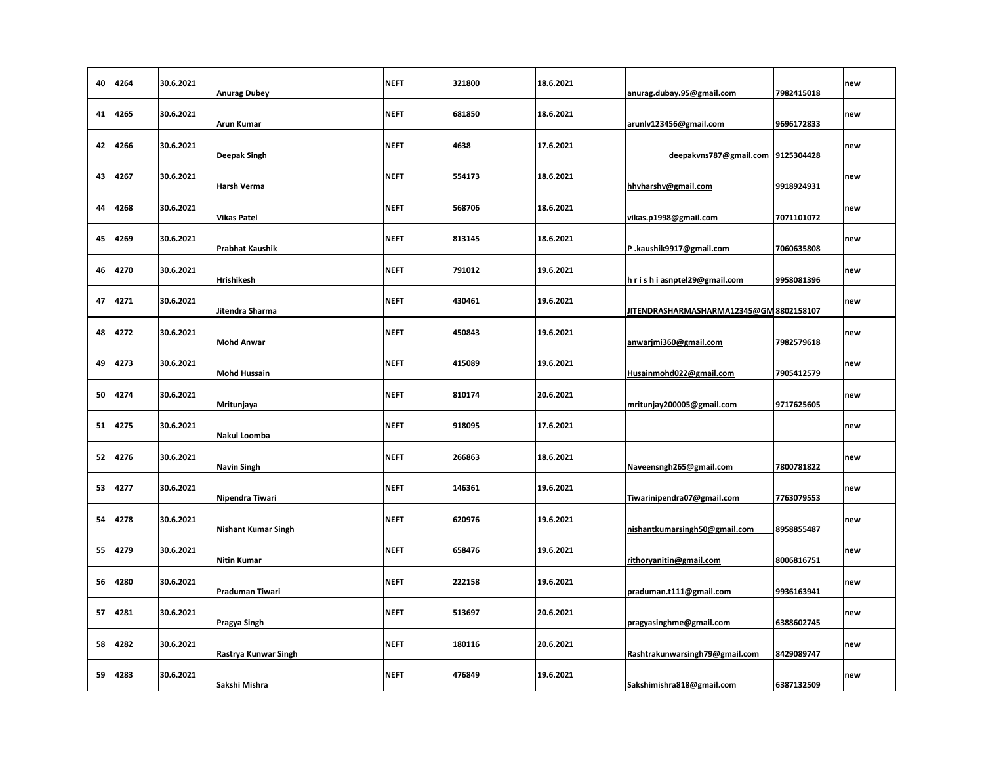| 40 | 4264 | 30.6.2021 | <b>Anurag Dubey</b>        | <b>NEFT</b> | 321800 | 18.6.2021 | anurag.dubay.95@gmail.com              | 7982415018 | new |
|----|------|-----------|----------------------------|-------------|--------|-----------|----------------------------------------|------------|-----|
| 41 | 4265 | 30.6.2021 | <b>Arun Kumar</b>          | <b>NEFT</b> | 681850 | 18.6.2021 | arunlv123456@gmail.com                 | 9696172833 | new |
| 42 | 4266 | 30.6.2021 | <b>Deepak Singh</b>        | <b>NEFT</b> | 4638   | 17.6.2021 | deepakvns787@gmail.com 9125304428      |            | new |
| 43 | 4267 | 30.6.2021 | Harsh Verma                | <b>NEFT</b> | 554173 | 18.6.2021 | hhvharshv@gmail.com                    | 9918924931 | new |
| 44 | 4268 | 30.6.2021 | <b>Vikas Patel</b>         | <b>NEFT</b> | 568706 | 18.6.2021 | vikas.p1998@gmail.com                  | 7071101072 | new |
| 45 | 4269 | 30.6.2021 | <b>Prabhat Kaushik</b>     | <b>NEFT</b> | 813145 | 18.6.2021 | P.kaushik9917@gmail.com                | 7060635808 | new |
| 46 | 4270 | 30.6.2021 | Hrishikesh                 | <b>NEFT</b> | 791012 | 19.6.2021 | h r i s h i asnptel29@gmail.com        | 9958081396 | new |
| 47 | 4271 | 30.6.2021 | Jitendra Sharma            | <b>NEFT</b> | 430461 | 19.6.2021 | JITENDRASHARMASHARMA12345@GM8802158107 |            | new |
| 48 | 4272 | 30.6.2021 | <b>Mohd Anwar</b>          | <b>NEFT</b> | 450843 | 19.6.2021 | anwarjmi360@gmail.com                  | 7982579618 | new |
| 49 | 4273 | 30.6.2021 | <b>Mohd Hussain</b>        | <b>NEFT</b> | 415089 | 19.6.2021 | Husainmohd022@gmail.com                | 7905412579 | new |
| 50 | 4274 | 30.6.2021 | Mritunjaya                 | <b>NEFT</b> | 810174 | 20.6.2021 | mritunjay200005@gmail.com              | 9717625605 | new |
| 51 | 4275 | 30.6.2021 | <b>Nakul Loomba</b>        | <b>NEFT</b> | 918095 | 17.6.2021 |                                        |            | new |
| 52 | 4276 | 30.6.2021 | <b>Navin Singh</b>         | <b>NEFT</b> | 266863 | 18.6.2021 | Naveensngh265@gmail.com                | 7800781822 | new |
| 53 | 4277 | 30.6.2021 | Nipendra Tiwari            | <b>NEFT</b> | 146361 | 19.6.2021 | Tiwarinipendra07@gmail.com             | 7763079553 | new |
| 54 | 4278 | 30.6.2021 | <b>Nishant Kumar Singh</b> | <b>NEFT</b> | 620976 | 19.6.2021 | nishantkumarsingh50@gmail.com          | 8958855487 | new |
| 55 | 4279 | 30.6.2021 | <b>Nitin Kumar</b>         | <b>NEFT</b> | 658476 | 19.6.2021 | rithoryanitin@gmail.com                | 8006816751 | new |
| 56 | 4280 | 30.6.2021 | Praduman Tiwari            | <b>NEFT</b> | 222158 | 19.6.2021 | praduman.t111@gmail.com                | 9936163941 | new |
| 57 | 4281 | 30.6.2021 | Pragya Singh               | <b>NEFT</b> | 513697 | 20.6.2021 | pragyasinghme@gmail.com                | 6388602745 | new |
| 58 | 4282 | 30.6.2021 | Rastrya Kunwar Singh       | <b>NEFT</b> | 180116 | 20.6.2021 | Rashtrakunwarsingh79@gmail.com         | 8429089747 | new |
| 59 | 4283 | 30.6.2021 | Sakshi Mishra              | <b>NEFT</b> | 476849 | 19.6.2021 | Sakshimishra818@gmail.com              | 6387132509 | new |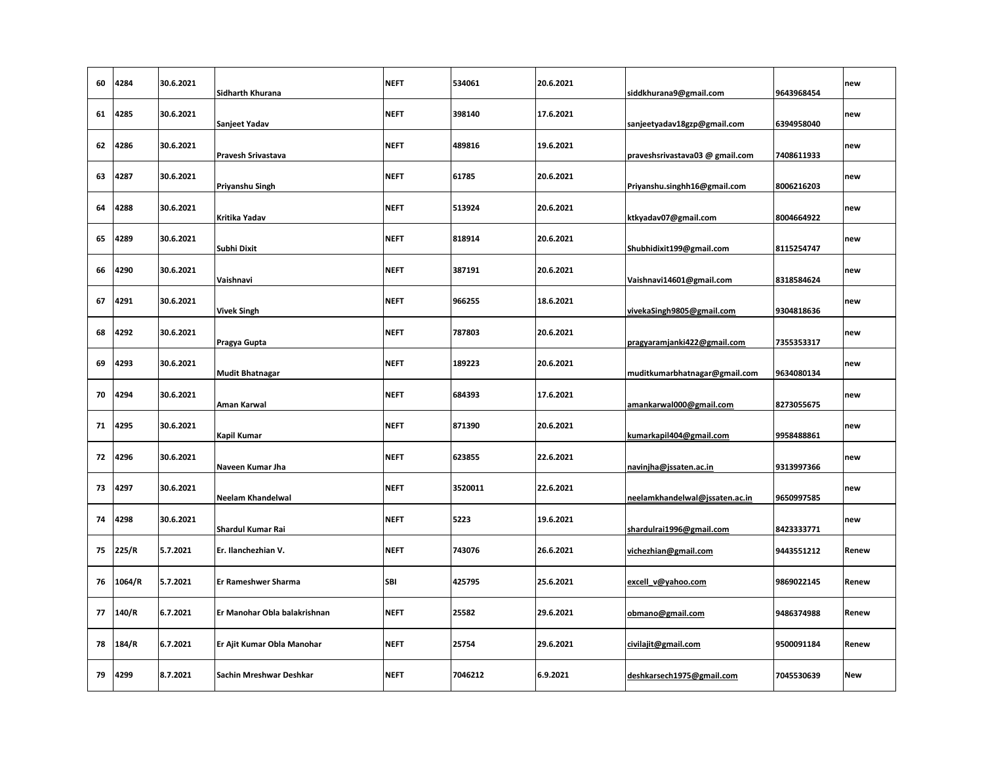| 60 | 4284   | 30.6.2021 | Sidharth Khurana             | <b>NEFT</b> | 534061  | 20.6.2021 | siddkhurana9@gmail.com          | 9643968454 | new        |
|----|--------|-----------|------------------------------|-------------|---------|-----------|---------------------------------|------------|------------|
| 61 | 4285   | 30.6.2021 | Sanjeet Yadav                | <b>NEFT</b> | 398140  | 17.6.2021 | sanjeetyadav18gzp@gmail.com     | 6394958040 | new        |
| 62 | 4286   | 30.6.2021 | Pravesh Srivastava           | <b>NEFT</b> | 489816  | 19.6.2021 | praveshsrivastava03 @ gmail.com | 7408611933 | new        |
| 63 | 4287   | 30.6.2021 | Priyanshu Singh              | <b>NEFT</b> | 61785   | 20.6.2021 | Priyanshu.singhh16@gmail.com    | 8006216203 | new        |
| 64 | 4288   | 30.6.2021 | Kritika Yadav                | <b>NEFT</b> | 513924  | 20.6.2021 | ktkyadav07@gmail.com            | 8004664922 | new        |
| 65 | 4289   | 30.6.2021 | Subhi Dixit                  | <b>NEFT</b> | 818914  | 20.6.2021 | Shubhidixit199@gmail.com        | 8115254747 | new        |
| 66 | 4290   | 30.6.2021 | Vaishnavi                    | <b>NEFT</b> | 387191  | 20.6.2021 | Vaishnavi14601@gmail.com        | 8318584624 | new        |
| 67 | 4291   | 30.6.2021 | <b>Vivek Singh</b>           | <b>NEFT</b> | 966255  | 18.6.2021 | vivekaSingh9805@gmail.com       | 9304818636 | new        |
| 68 | 4292   | 30.6.2021 | Pragya Gupta                 | <b>NEFT</b> | 787803  | 20.6.2021 | pragyaramjanki422@gmail.com     | 7355353317 | new        |
| 69 | 4293   | 30.6.2021 | <b>Mudit Bhatnagar</b>       | <b>NEFT</b> | 189223  | 20.6.2021 | muditkumarbhatnagar@gmail.com   | 9634080134 | new        |
| 70 | 4294   | 30.6.2021 | Aman Karwal                  | <b>NEFT</b> | 684393  | 17.6.2021 | amankarwal000@gmail.com         | 8273055675 | new        |
| 71 | 4295   | 30.6.2021 | Kapil Kumar                  | <b>NEFT</b> | 871390  | 20.6.2021 | kumarkapil404@gmail.com         | 9958488861 | new        |
| 72 | 4296   | 30.6.2021 | Naveen Kumar Jha             | <b>NEFT</b> | 623855  | 22.6.2021 | navinjha@jssaten.ac.in          | 9313997366 | new        |
| 73 | 4297   | 30.6.2021 | <b>Neelam Khandelwal</b>     | <b>NEFT</b> | 3520011 | 22.6.2021 | neelamkhandelwal@jssaten.ac.in  | 9650997585 | new        |
| 74 | 4298   | 30.6.2021 | <b>Shardul Kumar Rai</b>     | <b>NEFT</b> | 5223    | 19.6.2021 | shardulrai1996@gmail.com        | 8423333771 | new        |
| 75 | 225/R  | 5.7.2021  | Er. Ilanchezhian V.          | <b>NEFT</b> | 743076  | 26.6.2021 | vichezhian@gmail.com            | 9443551212 | Renew      |
| 76 | 1064/R | 5.7.2021  | Er Rameshwer Sharma          | <b>SBI</b>  | 425795  | 25.6.2021 | excell_v@yahoo.com              | 9869022145 | Renew      |
| 77 | 140/R  | 6.7.2021  | Er Manohar Obla balakrishnan | <b>NEFT</b> | 25582   | 29.6.2021 | obmano@gmail.com                | 9486374988 | Renew      |
| 78 | 184/R  | 6.7.2021  | Er Ajit Kumar Obla Manohar   | <b>NEFT</b> | 25754   | 29.6.2021 | civilajit@gmail.com             | 9500091184 | Renew      |
| 79 | 4299   | 8.7.2021  | Sachin Mreshwar Deshkar      | <b>NEFT</b> | 7046212 | 6.9.2021  | deshkarsech1975@gmail.com       | 7045530639 | <b>New</b> |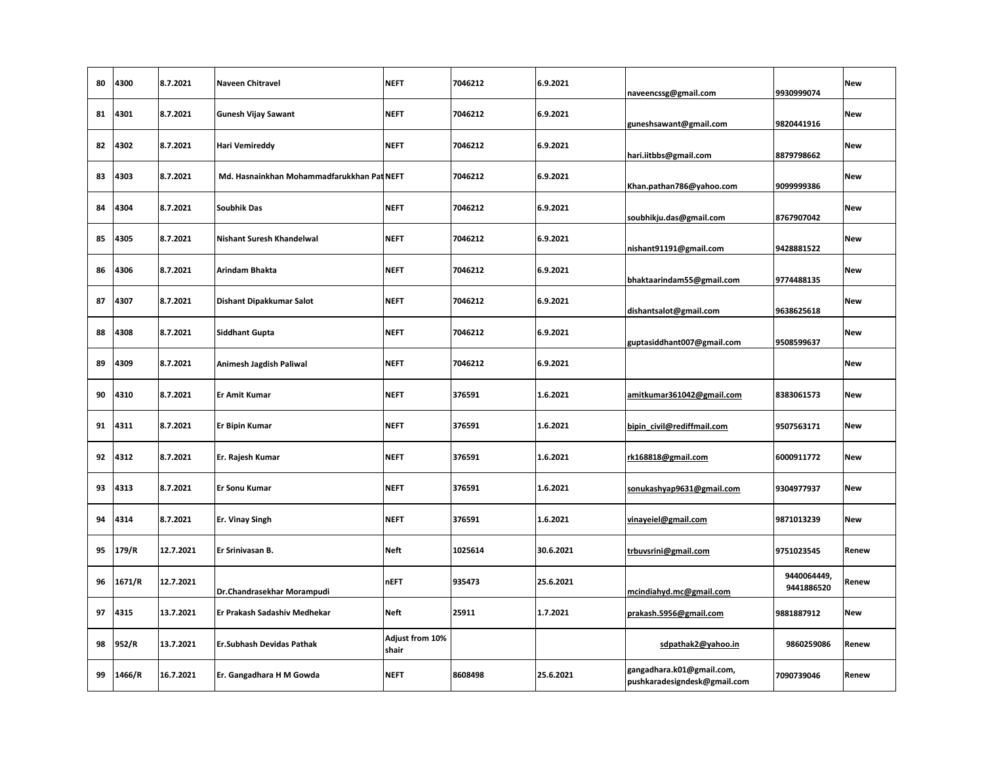| 80 | 4300   | 8.7.2021  | <b>Naveen Chitravel</b>                    | <b>NEFT</b>              | 7046212 | 6.9.2021  | naveencssg@gmail.com                                      | 9930999074                | <b>New</b> |
|----|--------|-----------|--------------------------------------------|--------------------------|---------|-----------|-----------------------------------------------------------|---------------------------|------------|
| 81 | 4301   | 8.7.2021  | <b>Gunesh Vijay Sawant</b>                 | <b>NEFT</b>              | 7046212 | 6.9.2021  | guneshsawant@gmail.com                                    | 9820441916                | <b>New</b> |
| 82 | 4302   | 8.7.2021  | <b>Hari Vemireddy</b>                      | <b>NEFT</b>              | 7046212 | 6.9.2021  | hari.iitbbs@gmail.com                                     | 8879798662                | <b>New</b> |
| 83 | 4303   | 8.7.2021  | Md. Hasnainkhan Mohammadfarukkhan Pat NEFT |                          | 7046212 | 6.9.2021  | Khan.pathan786@yahoo.com                                  | 9099999386                | <b>New</b> |
| 84 | 4304   | 8.7.2021  | <b>Soubhik Das</b>                         | <b>NEFT</b>              | 7046212 | 6.9.2021  | soubhikju.das@gmail.com                                   | 8767907042                | <b>New</b> |
| 85 | 4305   | 8.7.2021  | <b>Nishant Suresh Khandelwal</b>           | <b>NEFT</b>              | 7046212 | 6.9.2021  | nishant91191@gmail.com                                    | 9428881522                | <b>New</b> |
| 86 | 4306   | 8.7.2021  | Arindam Bhakta                             | <b>NEFT</b>              | 7046212 | 6.9.2021  | bhaktaarindam55@gmail.com                                 | 9774488135                | <b>New</b> |
| 87 | 4307   | 8.7.2021  | Dishant Dipakkumar Salot                   | <b>NEFT</b>              | 7046212 | 6.9.2021  | dishantsalot@gmail.com                                    | 9638625618                | <b>New</b> |
| 88 | 4308   | 8.7.2021  | <b>Siddhant Gupta</b>                      | <b>NEFT</b>              | 7046212 | 6.9.2021  | guptasiddhant007@gmail.com                                | 9508599637                | <b>New</b> |
| 89 | 4309   | 8.7.2021  | Animesh Jagdish Paliwal                    | <b>NEFT</b>              | 7046212 | 6.9.2021  |                                                           |                           | <b>New</b> |
| 90 | 4310   | 8.7.2021  | <b>Er Amit Kumar</b>                       | <b>NEFT</b>              | 376591  | 1.6.2021  | amitkumar361042@gmail.com                                 | 8383061573                | <b>New</b> |
| 91 | 4311   | 8.7.2021  | <b>Er Bipin Kumar</b>                      | <b>NEFT</b>              | 376591  | 1.6.2021  | bipin_civil@rediffmail.com                                | 9507563171                | <b>New</b> |
| 92 | 4312   | 8.7.2021  | Er. Rajesh Kumar                           | <b>NEFT</b>              | 376591  | 1.6.2021  | rk168818@gmail.com                                        | 6000911772                | <b>New</b> |
| 93 | 4313   | 8.7.2021  | <b>Er Sonu Kumar</b>                       | <b>NEFT</b>              | 376591  | 1.6.2021  | sonukashyap9631@gmail.com                                 | 9304977937                | <b>New</b> |
| 94 | 4314   | 8.7.2021  | <b>Er. Vinay Singh</b>                     | <b>NEFT</b>              | 376591  | 1.6.2021  | vinayeiel@gmail.com                                       | 9871013239                | <b>New</b> |
| 95 | 179/R  | 12.7.2021 | Er Srinivasan B.                           | Neft                     | 1025614 | 30.6.2021 | trbuvsrini@gmail.com                                      | 9751023545                | Renew      |
| 96 | 1671/R | 12.7.2021 | Dr.Chandrasekhar Morampudi                 | <b>nEFT</b>              | 935473  | 25.6.2021 | mcindiahyd.mc@gmail.com                                   | 9440064449,<br>9441886520 | Renew      |
| 97 | 4315   | 13.7.2021 | Er Prakash Sadashiv Medhekar               | Neft                     | 25911   | 1.7.2021  | prakash.5956@gmail.com                                    | 9881887912                | <b>New</b> |
| 98 | 952/R  | 13.7.2021 | Er.Subhash Devidas Pathak                  | Adjust from 10%<br>shair |         |           | sdpathak2@yahoo.in                                        | 9860259086                | Renew      |
| 99 | 1466/R | 16.7.2021 | Er. Gangadhara H M Gowda                   | <b>NEFT</b>              | 8608498 | 25.6.2021 | gangadhara.k01@gmail.com,<br>pushkaradesigndesk@gmail.com | 7090739046                | Renew      |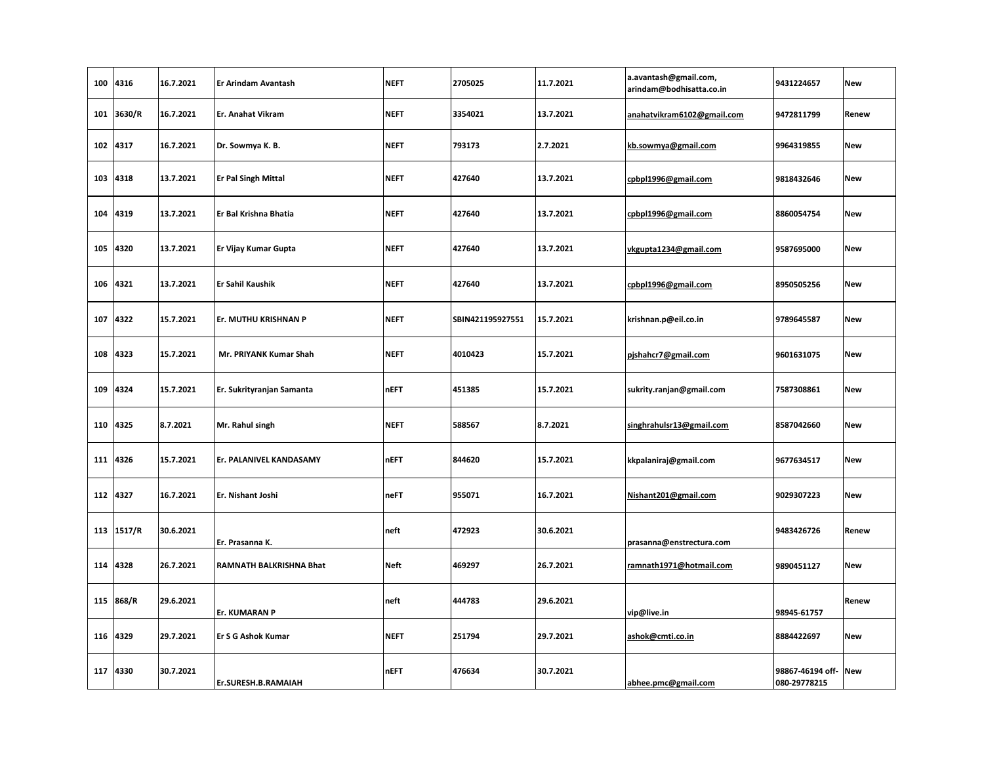| 100 | 4316       | 16.7.2021 | Er Arindam Avantash       | <b>NEFT</b> | 2705025          | 11.7.2021 | a.avantash@gmail.com,<br>arindam@bodhisatta.co.in | 9431224657                       | <b>New</b> |
|-----|------------|-----------|---------------------------|-------------|------------------|-----------|---------------------------------------------------|----------------------------------|------------|
| 101 | 3630/R     | 16.7.2021 | Er. Anahat Vikram         | <b>NEFT</b> | 3354021          | 13.7.2021 | anahatvikram6102@gmail.com                        | 9472811799                       | Renew      |
| 102 | 4317       | 16.7.2021 | Dr. Sowmya K. B.          | <b>NEFT</b> | 793173           | 2.7.2021  | kb.sowmya@gmail.com                               | 9964319855                       | <b>New</b> |
| 103 | 4318       | 13.7.2021 | Er Pal Singh Mittal       | <b>NEFT</b> | 427640           | 13.7.2021 | cpbpl1996@gmail.com                               | 9818432646                       | <b>New</b> |
| 104 | 4319       | 13.7.2021 | Er Bal Krishna Bhatia     | <b>NEFT</b> | 427640           | 13.7.2021 | cpbpl1996@gmail.com                               | 8860054754                       | <b>New</b> |
| 105 | 4320       | 13.7.2021 | Er Vijay Kumar Gupta      | <b>NEFT</b> | 427640           | 13.7.2021 | vkgupta1234@gmail.com                             | 9587695000                       | <b>New</b> |
| 106 | 4321       | 13.7.2021 | Er Sahil Kaushik          | <b>NEFT</b> | 427640           | 13.7.2021 | cpbpl1996@gmail.com                               | 8950505256                       | <b>New</b> |
| 107 | 4322       | 15.7.2021 | Er. MUTHU KRISHNAN P      | <b>NEFT</b> | SBIN421195927551 | 15.7.2021 | krishnan.p@eil.co.in                              | 9789645587                       | <b>New</b> |
| 108 | 4323       | 15.7.2021 | Mr. PRIYANK Kumar Shah    | <b>NEFT</b> | 4010423          | 15.7.2021 | pjshahcr7@gmail.com                               | 9601631075                       | <b>New</b> |
| 109 | 4324       | 15.7.2021 | Er. Sukrityranjan Samanta | <b>nEFT</b> | 451385           | 15.7.2021 | sukrity.ranjan@gmail.com                          | 7587308861                       | <b>New</b> |
| 110 | 4325       | 8.7.2021  | Mr. Rahul singh           | <b>NEFT</b> | 588567           | 8.7.2021  | singhrahulsr13@gmail.com                          | 8587042660                       | <b>New</b> |
|     | 111 4326   | 15.7.2021 | Er. PALANIVEL KANDASAMY   | <b>nEFT</b> | 844620           | 15.7.2021 | kkpalaniraj@gmail.com                             | 9677634517                       | <b>New</b> |
| 112 | 4327       | 16.7.2021 | Er. Nishant Joshi         | neFT        | 955071           | 16.7.2021 | Nishant201@gmail.com                              | 9029307223                       | <b>New</b> |
|     | 113 1517/R | 30.6.2021 | Er. Prasanna K.           | neft        | 472923           | 30.6.2021 | prasanna@enstrectura.com                          | 9483426726                       | Renew      |
| 114 | 4328       | 26.7.2021 | RAMNATH BALKRISHNA Bhat   | Neft        | 469297           | 26.7.2021 | ramnath1971@hotmail.com                           | 9890451127                       | <b>New</b> |
|     | 115 868/R  | 29.6.2021 | Er. KUMARAN P             | neft        | 444783           | 29.6.2021 | vip@live.in                                       | 98945-61757                      | Renew      |
| 116 | 4329       | 29.7.2021 | <b>Er S G Ashok Kumar</b> | <b>NEFT</b> | 251794           | 29.7.2021 | ashok@cmti.co.in                                  | 8884422697                       | <b>New</b> |
| 117 | 4330       | 30.7.2021 | Er.SURESH.B.RAMAIAH       | <b>nEFT</b> | 476634           | 30.7.2021 | abhee.pmc@gmail.com                               | 98867-46194 off-<br>080-29778215 | <b>New</b> |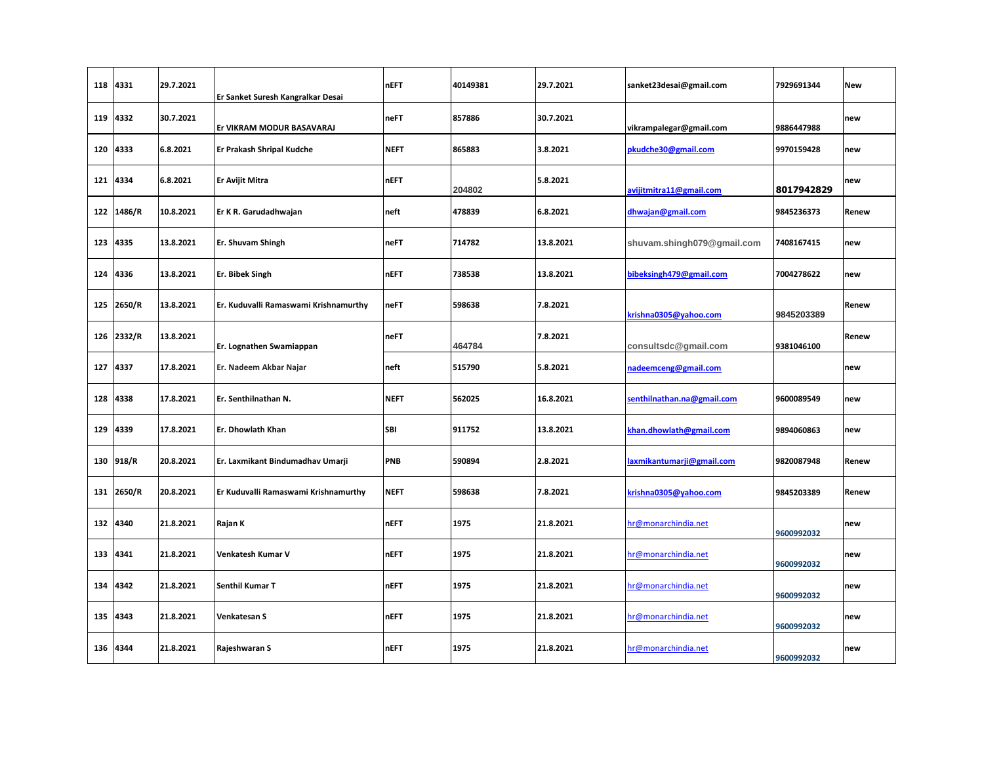| 118 | 4331       | 29.7.2021 | Er Sanket Suresh Kangralkar Desai     | <b>nEFT</b> | 40149381 | 29.7.2021 | sanket23desai@gmail.com    | 7929691344 | <b>New</b> |
|-----|------------|-----------|---------------------------------------|-------------|----------|-----------|----------------------------|------------|------------|
| 119 | 4332       | 30.7.2021 | Er VIKRAM MODUR BASAVARAJ             | neFT        | 857886   | 30.7.2021 | vikrampalegar@gmail.com    | 9886447988 | new        |
| 120 | 4333       | 6.8.2021  | Er Prakash Shripal Kudche             | <b>NEFT</b> | 865883   | 3.8.2021  | pkudche30@gmail.com        | 9970159428 | new        |
| 121 | 4334       | 6.8.2021  | Er Avijit Mitra                       | <b>nEFT</b> | 204802   | 5.8.2021  | avijitmitra11@gmail.com    | 8017942829 | new        |
| 122 | 1486/R     | 10.8.2021 | Er K R. Garudadhwajan                 | neft        | 478839   | 6.8.2021  | dhwajan@gmail.com          | 9845236373 | Renew      |
| 123 | 4335       | 13.8.2021 | Er. Shuvam Shingh                     | neFT        | 714782   | 13.8.2021 | shuvam.shingh079@gmail.com | 7408167415 | new        |
| 124 | 4336       | 13.8.2021 | Er. Bibek Singh                       | <b>nEFT</b> | 738538   | 13.8.2021 | bibeksingh479@gmail.com    | 7004278622 | new        |
| 125 | 2650/R     | 13.8.2021 | Er. Kuduvalli Ramaswami Krishnamurthy | neFT        | 598638   | 7.8.2021  | krishna0305@yahoo.com      | 9845203389 | Renew      |
|     | 126 2332/R | 13.8.2021 | Er. Lognathen Swamiappan              | neFT        | 464784   | 7.8.2021  | consultsdc@gmail.com       | 9381046100 | Renew      |
| 127 | 4337       | 17.8.2021 | Er. Nadeem Akbar Najar                | neft        | 515790   | 5.8.2021  | nadeemceng@gmail.com       |            | new        |
| 128 | 4338       | 17.8.2021 | Er. Senthilnathan N.                  | <b>NEFT</b> | 562025   | 16.8.2021 | senthilnathan.na@gmail.com | 9600089549 | new        |
| 129 | 4339       | 17.8.2021 | Er. Dhowlath Khan                     | <b>SBI</b>  | 911752   | 13.8.2021 | khan.dhowlath@gmail.com    | 9894060863 | new        |
|     | 130 918/R  | 20.8.2021 | Er. Laxmikant Bindumadhav Umarji      | PNB         | 590894   | 2.8.2021  | laxmikantumarji@gmail.com  | 9820087948 | Renew      |
| 131 | 2650/R     | 20.8.2021 | Er Kuduvalli Ramaswami Krishnamurthy  | <b>NEFT</b> | 598638   | 7.8.2021  | krishna0305@yahoo.com      | 9845203389 | Renew      |
| 132 | 4340       | 21.8.2021 | Rajan K                               | <b>nEFT</b> | 1975     | 21.8.2021 | hr@monarchindia.net        | 9600992032 | new        |
| 133 | 4341       | 21.8.2021 | Venkatesh Kumar V                     | <b>nEFT</b> | 1975     | 21.8.2021 | hr@monarchindia.net        | 9600992032 | new        |
| 134 | 4342       | 21.8.2021 | Senthil Kumar T                       | <b>nEFT</b> | 1975     | 21.8.2021 | hr@monarchindia.net        | 9600992032 | new        |
| 135 | 4343       | 21.8.2021 | Venkatesan S                          | <b>nEFT</b> | 1975     | 21.8.2021 | hr@monarchindia.net        | 9600992032 | new        |
| 136 | 4344       | 21.8.2021 | Rajeshwaran S                         | <b>nEFT</b> | 1975     | 21.8.2021 | hr@monarchindia.net        | 9600992032 | new        |